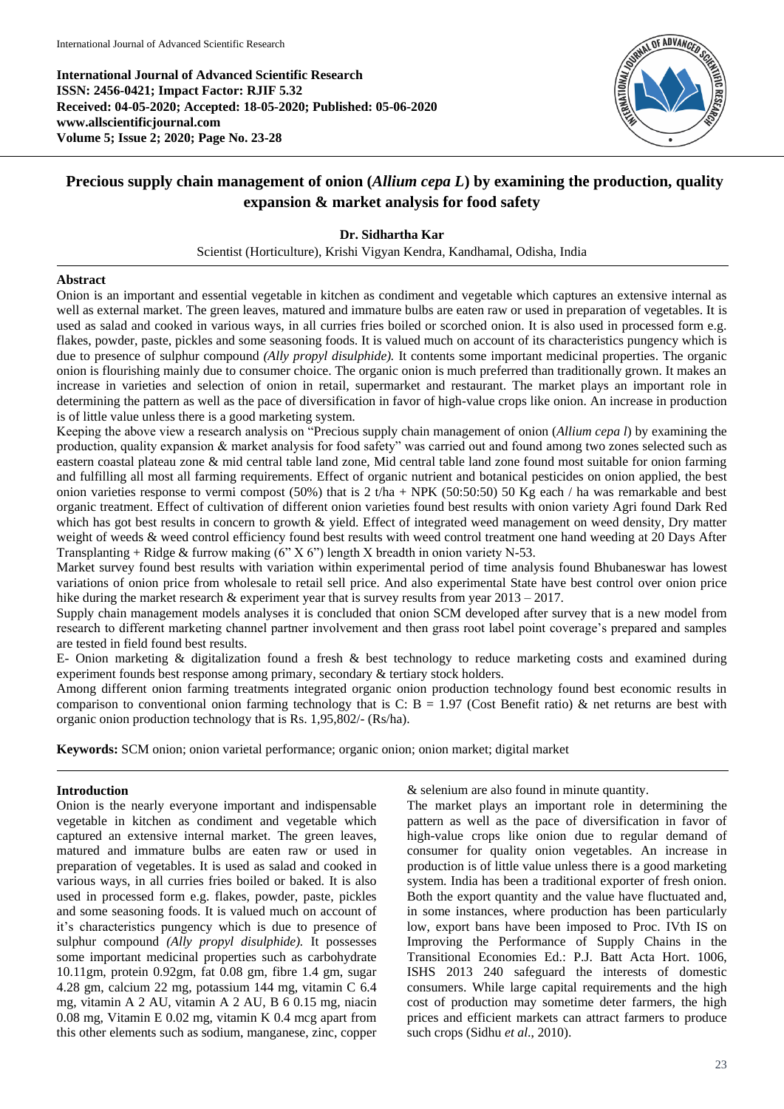**International Journal of Advanced Scientific Research ISSN: 2456-0421; Impact Factor: RJIF 5.32 Received: 04-05-2020; Accepted: 18-05-2020; Published: 05-06-2020 www.allscientificjournal.com Volume 5; Issue 2; 2020; Page No. 23-28**



# **Precious supply chain management of onion (***Allium cepa L***) by examining the production, quality expansion & market analysis for food safety**

## **Dr. Sidhartha Kar**

Scientist (Horticulture), Krishi Vigyan Kendra, Kandhamal, Odisha, India

#### **Abstract**

Onion is an important and essential vegetable in kitchen as condiment and vegetable which captures an extensive internal as well as external market. The green leaves, matured and immature bulbs are eaten raw or used in preparation of vegetables. It is used as salad and cooked in various ways, in all curries fries boiled or scorched onion. It is also used in processed form e.g. flakes, powder, paste, pickles and some seasoning foods. It is valued much on account of its characteristics pungency which is due to presence of sulphur compound *(Ally propyl disulphide).* It contents some important medicinal properties. The organic onion is flourishing mainly due to consumer choice. The organic onion is much preferred than traditionally grown. It makes an increase in varieties and selection of onion in retail, supermarket and restaurant. The market plays an important role in determining the pattern as well as the pace of diversification in favor of high-value crops like onion. An increase in production is of little value unless there is a good marketing system.

Keeping the above view a research analysis on "Precious supply chain management of onion (*Allium cepa l*) by examining the production, quality expansion & market analysis for food safety" was carried out and found among two zones selected such as eastern coastal plateau zone & mid central table land zone, Mid central table land zone found most suitable for onion farming and fulfilling all most all farming requirements. Effect of organic nutrient and botanical pesticides on onion applied, the best onion varieties response to vermi compost (50%) that is 2 t/ha + NPK (50:50:50) 50 Kg each / ha was remarkable and best organic treatment. Effect of cultivation of different onion varieties found best results with onion variety Agri found Dark Red which has got best results in concern to growth & yield. Effect of integrated weed management on weed density, Dry matter weight of weeds & weed control efficiency found best results with weed control treatment one hand weeding at 20 Days After Transplanting + Ridge & furrow making  $(6'' X 6'')$  length X breadth in onion variety N-53.

Market survey found best results with variation within experimental period of time analysis found Bhubaneswar has lowest variations of onion price from wholesale to retail sell price. And also experimental State have best control over onion price hike during the market research & experiment year that is survey results from year 2013 – 2017.

Supply chain management models analyses it is concluded that onion SCM developed after survey that is a new model from research to different marketing channel partner involvement and then grass root label point coverage's prepared and samples are tested in field found best results.

E- Onion marketing & digitalization found a fresh & best technology to reduce marketing costs and examined during experiment founds best response among primary, secondary & tertiary stock holders.

Among different onion farming treatments integrated organic onion production technology found best economic results in comparison to conventional onion farming technology that is C:  $B = 1.97$  (Cost Benefit ratio) & net returns are best with organic onion production technology that is Rs. 1,95,802/- (Rs/ha).

**Keywords:** SCM onion; onion varietal performance; organic onion; onion market; digital market

#### **Introduction**

Onion is the nearly everyone important and indispensable vegetable in kitchen as condiment and vegetable which captured an extensive internal market. The green leaves, matured and immature bulbs are eaten raw or used in preparation of vegetables. It is used as salad and cooked in various ways, in all curries fries boiled or baked. It is also used in processed form e.g. flakes, powder, paste, pickles and some seasoning foods. It is valued much on account of it's characteristics pungency which is due to presence of sulphur compound *(Ally propyl disulphide).* It possesses some important medicinal properties such as carbohydrate 10.11gm, protein 0.92gm, fat 0.08 gm, fibre 1.4 gm, sugar 4.28 gm, calcium 22 mg, potassium 144 mg, vitamin C 6.4 mg, vitamin A 2 AU, vitamin A 2 AU, B 6 0.15 mg, niacin 0.08 mg, Vitamin E 0.02 mg, vitamin K 0.4 mcg apart from this other elements such as sodium, manganese, zinc, copper & selenium are also found in minute quantity.

The market plays an important role in determining the pattern as well as the pace of diversification in favor of high-value crops like onion due to regular demand of consumer for quality onion vegetables. An increase in production is of little value unless there is a good marketing system. India has been a traditional exporter of fresh onion. Both the export quantity and the value have fluctuated and, in some instances, where production has been particularly low, export bans have been imposed to Proc. IVth IS on Improving the Performance of Supply Chains in the Transitional Economies Ed.: P.J. Batt Acta Hort. 1006, ISHS 2013 240 safeguard the interests of domestic consumers. While large capital requirements and the high cost of production may sometime deter farmers, the high prices and efficient markets can attract farmers to produce such crops (Sidhu *et al*., 2010).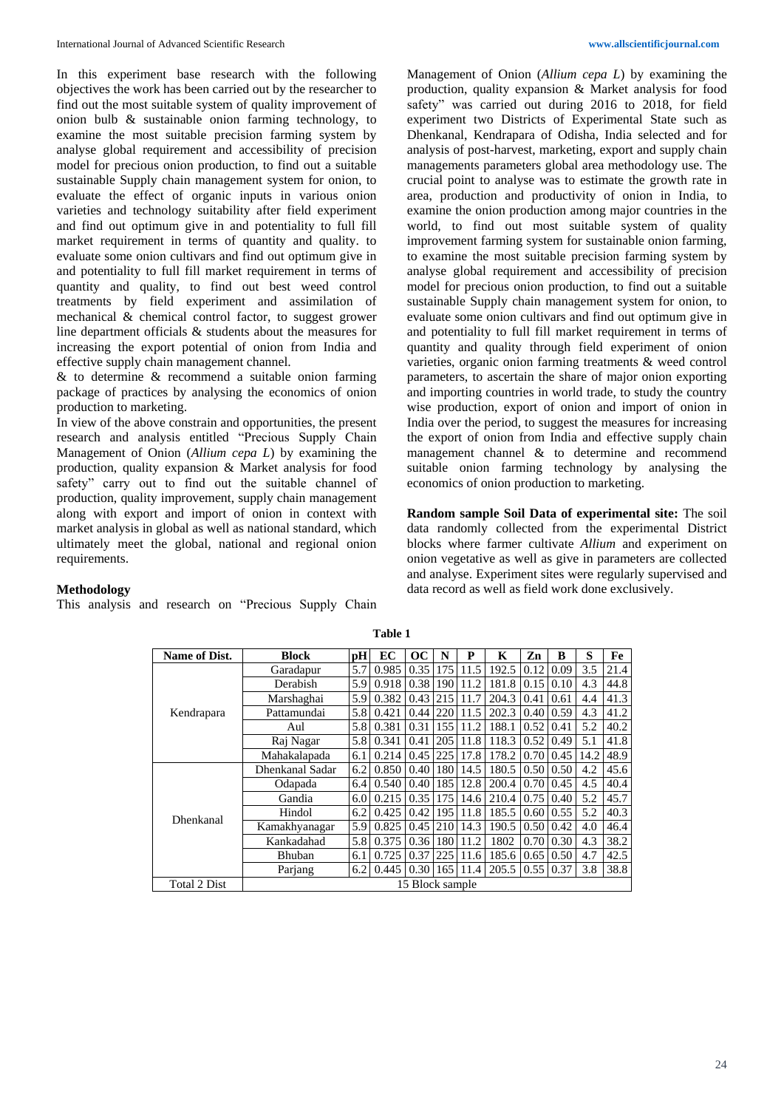In this experiment base research with the following objectives the work has been carried out by the researcher to find out the most suitable system of quality improvement of onion bulb & sustainable onion farming technology, to examine the most suitable precision farming system by analyse global requirement and accessibility of precision model for precious onion production, to find out a suitable sustainable Supply chain management system for onion, to evaluate the effect of organic inputs in various onion varieties and technology suitability after field experiment and find out optimum give in and potentiality to full fill market requirement in terms of quantity and quality. to evaluate some onion cultivars and find out optimum give in and potentiality to full fill market requirement in terms of quantity and quality, to find out best weed control treatments by field experiment and assimilation of mechanical & chemical control factor, to suggest grower line department officials & students about the measures for increasing the export potential of onion from India and effective supply chain management channel.

& to determine & recommend a suitable onion farming package of practices by analysing the economics of onion production to marketing.

In view of the above constrain and opportunities, the present research and analysis entitled "Precious Supply Chain Management of Onion (*Allium cepa L*) by examining the production, quality expansion & Market analysis for food safety" carry out to find out the suitable channel of production, quality improvement, supply chain management along with export and import of onion in context with market analysis in global as well as national standard, which ultimately meet the global, national and regional onion requirements.

Management of Onion (*Allium cepa L*) by examining the production, quality expansion & Market analysis for food safety" was carried out during 2016 to 2018, for field experiment two Districts of Experimental State such as Dhenkanal, Kendrapara of Odisha, India selected and for analysis of post-harvest, marketing, export and supply chain managements parameters global area methodology use. The crucial point to analyse was to estimate the growth rate in area, production and productivity of onion in India, to examine the onion production among major countries in the world, to find out most suitable system of quality improvement farming system for sustainable onion farming, to examine the most suitable precision farming system by analyse global requirement and accessibility of precision model for precious onion production, to find out a suitable sustainable Supply chain management system for onion, to evaluate some onion cultivars and find out optimum give in and potentiality to full fill market requirement in terms of quantity and quality through field experiment of onion varieties, organic onion farming treatments & weed control parameters, to ascertain the share of major onion exporting and importing countries in world trade, to study the country wise production, export of onion and import of onion in India over the period, to suggest the measures for increasing the export of onion from India and effective supply chain management channel & to determine and recommend suitable onion farming technology by analysing the economics of onion production to marketing.

**Random sample Soil Data of experimental site:** The soil data randomly collected from the experimental District blocks where farmer cultivate *Allium* and experiment on onion vegetative as well as give in parameters are collected and analyse. Experiment sites were regularly supervised and data record as well as field work done exclusively.

# **Methodology**

This analysis and research on "Precious Supply Chain

| Name of Dist. | <b>Block</b>    | рH  | EC    | $\bf OC$          | N   | P    | K          | Zn   | B    | S    | Fe   |
|---------------|-----------------|-----|-------|-------------------|-----|------|------------|------|------|------|------|
|               | Garadapur       | 5.7 | 0.985 | 0.35              | 175 | 11.5 | 192.5      | 0.12 | 0.09 | 3.5  | 21.4 |
|               | Derabish        | 5.9 | 0.918 | 0.38              | 190 | 11.2 | 181.8      | 0.15 | 0.10 | 4.3  | 44.8 |
|               | Marshaghai      | 5.9 | 0.382 | 0.43              | 215 | 11.7 | 204.3      | 0.41 | 0.61 | 4.4  | 41.3 |
| Kendrapara    | Pattamundai     | 5.8 | 0.421 | 0.44              | 220 | 11.5 | 202.3      | 0.40 | 0.59 | 4.3  | 41.2 |
|               | Aul             | 5.8 | 0.381 | 0.31              | 155 | 11.2 | 188.1      | 0.52 | 0.41 | 5.2  | 40.2 |
|               | Raj Nagar       | 5.8 | 0.341 | 0.41              | 205 | 11.8 | 118.3      | 0.52 | 0.49 | 5.1  | 41.8 |
|               | Mahakalapada    | 6.1 | 0.214 | 0.45              | 225 | 17.8 | 178.2      | 0.70 | 0.45 | 14.2 | 48.9 |
|               | Dhenkanal Sadar | 6.2 | 0.850 | 0.40              | 180 | 14.5 | 180.5      | 0.50 | 0.50 | 4.2  | 45.6 |
|               | Odapada         | 6.4 | 0.540 | 0.40              | 185 | 12.8 | 200.4      | 0.70 | 0.45 | 4.5  | 40.4 |
|               | Gandia          | 6.0 | 0.215 | 0.35              | 175 | 14.6 | 210.4      | 0.75 | 0.40 | 5.2  | 45.7 |
| Dhenkanal     | Hindol          | 6.2 | 0.425 | 0.42              | 195 | 11.8 | 185.5      | 0.60 | 0.55 | 5.2  | 40.3 |
|               | Kamakhyanagar   | 5.9 | 0.825 | 0.45              | 210 | 14.3 | 190.5      | 0.50 | 0.42 | 4.0  | 46.4 |
|               | Kankadahad      | 5.8 | 0.375 | 0.36              | 180 | 11.2 | 1802       | 0.70 | 0.30 | 4.3  | 38.2 |
|               | Bhuban          | 6.1 | 0.725 | 0.37              | 225 | 11.6 | 185.6      | 0.65 | 0.50 | 4.7  | 42.5 |
|               | Parjang         | 6.2 | 0.445 | 0.30 <sup>1</sup> | 165 | 11.4 | 205.5 0.55 |      | 0.37 | 3.8  | 38.8 |
| Total 2 Dist  | 15 Block sample |     |       |                   |     |      |            |      |      |      |      |

**Table 1**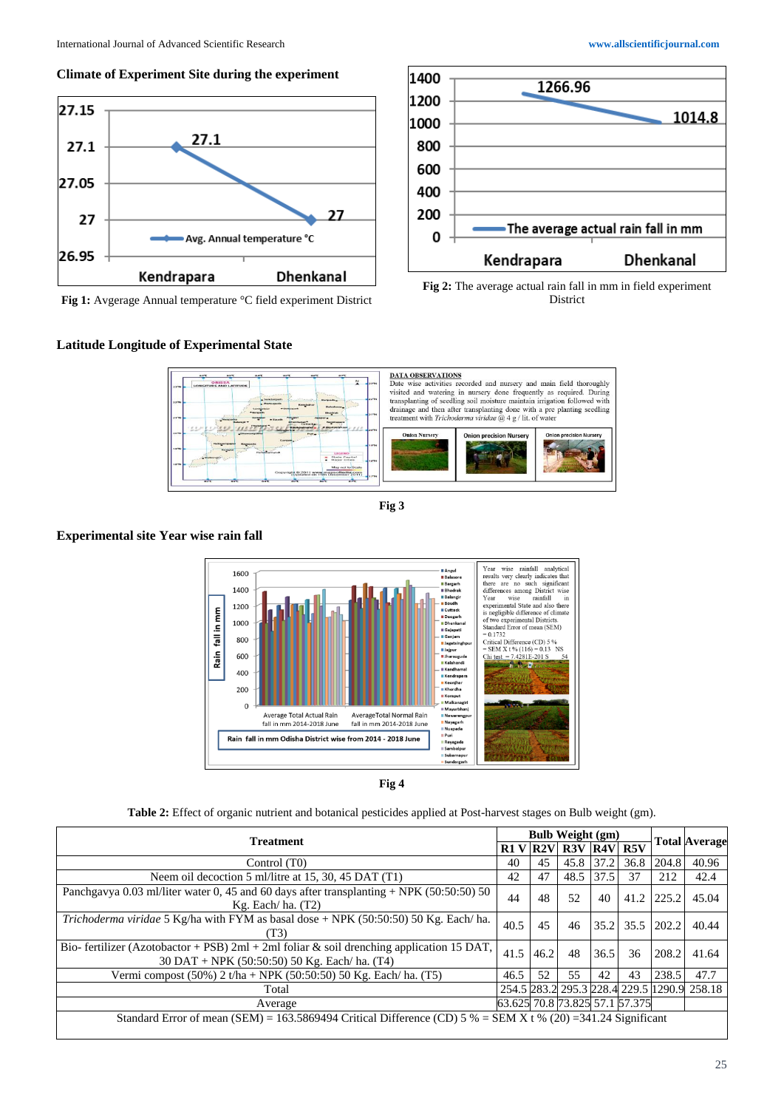### **Climate of Experiment Site during the experiment**



**Fig 1:** Avgerage Annual temperature °C field experiment District

# **Latitude Longitude of Experimental State**







**Fig 3**

# **Experimental site Year wise rain fall**



**Fig 4**

**Table 2:** Effect of organic nutrient and botanical pesticides applied at Post-harvest stages on Bulb weight (gm).

| <b>Treatment</b><br>R1 V                                                                                                                   |      | <b>Bulb Weight (gm)</b> |                                                 |           |                                |       | <b>Total Average</b>                        |
|--------------------------------------------------------------------------------------------------------------------------------------------|------|-------------------------|-------------------------------------------------|-----------|--------------------------------|-------|---------------------------------------------|
|                                                                                                                                            |      |                         | $\vert$ R2V $\vert$ R3V $\vert$ R4V $\vert$ R5V |           |                                |       |                                             |
| Control (T0)                                                                                                                               | 40   | 45                      | 45.8 37.2                                       |           | 36.8                           | 204.8 | 40.96                                       |
| Neem oil decoction 5 ml/litre at 15, 30, 45 DAT (T1)                                                                                       | 42   | 47                      |                                                 | 48.5 37.5 | 37                             | 212   | 42.4                                        |
| Panchgavya 0.03 ml/liter water 0, 45 and 60 days after transplanting + NPK (50:50:50) 50<br>$Kg$ . Each/ha. $(T2)$                         | 44   | 48                      | 52                                              | 40        | 41.2                           | 225.2 | 45.04                                       |
| Trichoderma viridae 5 Kg/ha with FYM as basal dose + NPK (50:50:50) 50 Kg. Each/ ha.<br>(T3)                                               | 40.5 | 45                      | 46                                              |           | $35.2$ 35.5                    | 202.2 | 40.44                                       |
| Bio- fertilizer (Azotobactor + PSB) 2ml + 2ml foliar & soil drenching application 15 DAT,<br>30 DAT + NPK (50:50:50) 50 Kg. Each/ ha. (T4) | 41.5 | 46.2                    | 48                                              | 36.5      | 36                             | 208.2 | 41.64                                       |
| Vermi compost $(50\%)$ 2 t/ha + NPK $(50:50:50)$ 50 Kg. Each/ ha. (T5)                                                                     | 46.5 | 52                      | 55                                              | 42        | 43                             | 238.5 | 47.7                                        |
| Total                                                                                                                                      |      |                         |                                                 |           |                                |       | 254.5 283.2 295.3 228.4 229.5 1290.9 258.18 |
| Average                                                                                                                                    |      |                         |                                                 |           | 63.625 70.8 73.825 57.1 57.375 |       |                                             |
| Standard Error of mean (SEM) = 163.5869494 Critical Difference (CD) 5 % = SEM X t % (20) = 341.24 Significant                              |      |                         |                                                 |           |                                |       |                                             |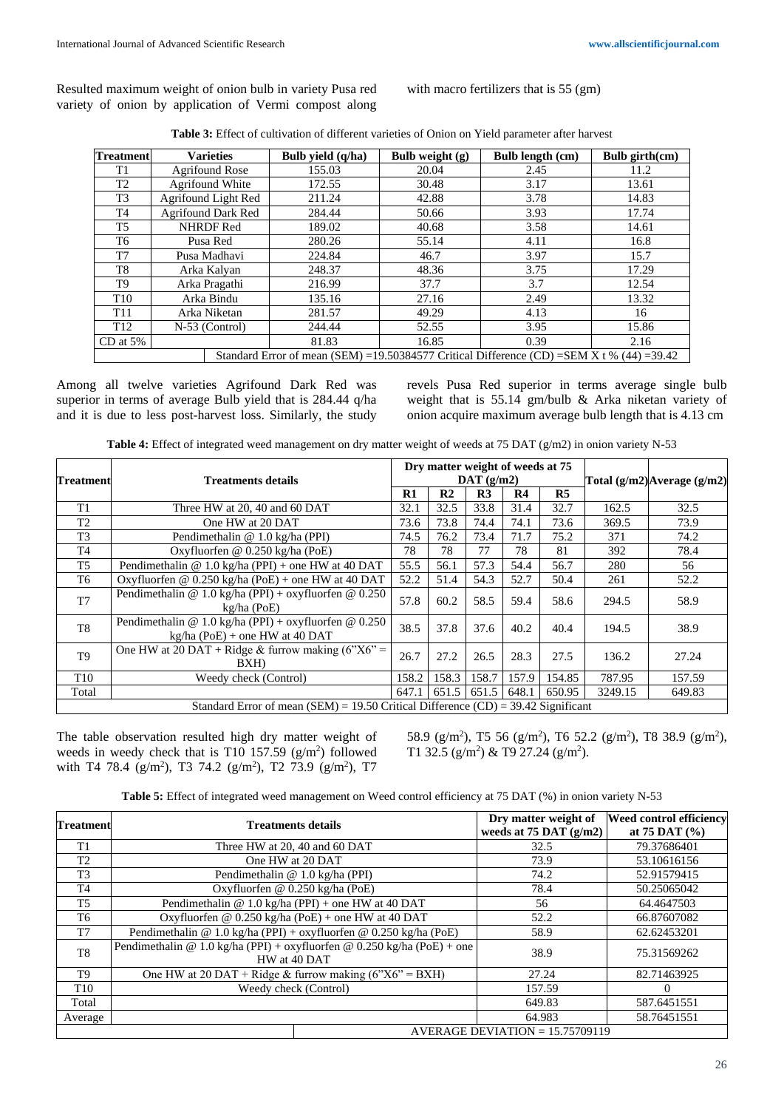Resulted maximum weight of onion bulb in variety Pusa red variety of onion by application of Vermi compost along with macro fertilizers that is 55 (gm)

| <b>Treatment</b> |                                                                                           | <b>Varieties</b>          | Bulb vield (q/ha) | Bulb weight $(g)$ | Bulb length (cm) | Bulb girth(cm) |  |
|------------------|-------------------------------------------------------------------------------------------|---------------------------|-------------------|-------------------|------------------|----------------|--|
| T <sub>1</sub>   | <b>Agrifound Rose</b>                                                                     |                           | 155.03            | 20.04             | 2.45             | 11.2           |  |
| T <sub>2</sub>   | Agrifound White                                                                           |                           | 172.55            | 30.48             | 3.17             | 13.61          |  |
| T <sub>3</sub>   |                                                                                           | Agrifound Light Red       | 211.24            | 42.88             | 3.78             | 14.83          |  |
| T4               |                                                                                           | <b>Agrifound Dark Red</b> | 284.44            | 50.66             | 3.93             | 17.74          |  |
| T <sub>5</sub>   |                                                                                           | <b>NHRDF</b> Red          | 189.02            | 40.68             | 3.58             | 14.61          |  |
| T6               | Pusa Red                                                                                  |                           | 280.26            | 55.14             | 4.11             | 16.8           |  |
| T7               | Pusa Madhavi                                                                              |                           | 224.84            | 46.7              | 3.97             | 15.7           |  |
| T8               | Arka Kalyan                                                                               |                           | 248.37            | 48.36             | 3.75             | 17.29          |  |
| T9               |                                                                                           | Arka Pragathi             | 216.99            | 37.7              | 3.7              | 12.54          |  |
| T <sub>10</sub>  |                                                                                           | Arka Bindu                | 135.16            | 27.16             | 2.49             | 13.32          |  |
| T <sub>11</sub>  | Arka Niketan                                                                              |                           | 281.57            | 49.29             | 4.13             | 16             |  |
| T <sub>12</sub>  | N-53 (Control)                                                                            |                           | 244.44            | 52.55             | 3.95             | 15.86          |  |
| $CD$ at 5%       |                                                                                           | 81.83                     | 16.85             | 0.39              | 2.16             |                |  |
|                  | Standard Error of mean (SEM) =19.50384577 Critical Difference (CD) =SEM X t % (44) =39.42 |                           |                   |                   |                  |                |  |

Among all twelve varieties Agrifound Dark Red was superior in terms of average Bulb yield that is 284.44 q/ha and it is due to less post-harvest loss. Similarly, the study revels Pusa Red superior in terms average single bulb weight that is 55.14 gm/bulb & Arka niketan variety of onion acquire maximum average bulb length that is 4.13 cm

| Table 4: Effect of integrated weed management on dry matter weight of weeds at 75 DAT (g/m2) in onion variety N-53 |  |  |  |
|--------------------------------------------------------------------------------------------------------------------|--|--|--|
|--------------------------------------------------------------------------------------------------------------------|--|--|--|

|                                                                                   | <b>Treatments details</b>                                                                 |               | Dry matter weight of weeds at 75 |                |                |                |                             |        |  |
|-----------------------------------------------------------------------------------|-------------------------------------------------------------------------------------------|---------------|----------------------------------|----------------|----------------|----------------|-----------------------------|--------|--|
| <b>Treatment</b>                                                                  |                                                                                           |               |                                  | DATA(g/m2)     |                |                | Total (g/m2) Average (g/m2) |        |  |
|                                                                                   |                                                                                           | $\mathbf{R}1$ | R <sub>2</sub>                   | R <sub>3</sub> | R <sub>4</sub> | R <sub>5</sub> |                             |        |  |
| T <sub>1</sub>                                                                    | Three HW at 20, 40 and 60 DAT                                                             | 32.1          | 32.5                             | 33.8           | 31.4           | 32.7           | 162.5                       | 32.5   |  |
| T <sub>2</sub>                                                                    | One HW at 20 DAT                                                                          | 73.6          | 73.8                             | 74.4           | 74.1           | 73.6           | 369.5                       | 73.9   |  |
| T <sub>3</sub>                                                                    | Pendimethalin @ 1.0 kg/ha (PPI)                                                           | 74.5          | 76.2                             | 73.4           | 71.7           | 75.2           | 371                         | 74.2   |  |
| T <sub>4</sub>                                                                    | Oxyfluorfen @ 0.250 kg/ha (PoE)                                                           | 78            | 78                               | 77             | 78             | 81             | 392                         | 78.4   |  |
| T5                                                                                | Pendimethalin @ 1.0 kg/ha (PPI) + one HW at 40 DAT                                        | 55.5          | 56.1                             | 57.3           | 54.4           | 56.7           | 280                         | 56     |  |
| T6                                                                                | Oxyfluorfen @ $0.250 \text{ kg/ha}$ (PoE) + one HW at 40 DAT                              | 52.2          | 51.4                             | 54.3           | 52.7           | 50.4           | 261                         | 52.2   |  |
| T <sub>7</sub>                                                                    | Pendimethalin @ 1.0 kg/ha (PPI) + oxyfluorfen @ 0.250<br>$kg/ha$ (PoE)                    | 57.8          | 60.2                             | 58.5           | 59.4           | 58.6           | 294.5                       | 58.9   |  |
| T <sub>8</sub>                                                                    | Pendimethalin @ 1.0 kg/ha (PPI) + oxyfluorfen @ 0.250<br>$kg/ha$ (PoE) + one HW at 40 DAT | 38.5          | 37.8                             | 37.6           | 40.2           | 40.4           | 194.5                       | 38.9   |  |
| T <sub>9</sub>                                                                    | One HW at 20 DAT + Ridge & furrow making $(6"X6" =$<br>BXH)                               | 26.7          | 27.2                             | 26.5           | 28.3           | 27.5           | 136.2                       | 27.24  |  |
| T <sub>10</sub>                                                                   | Weedy check (Control)                                                                     | 158.2         | 158.3                            | 158.7          | 157.9          | 154.85         | 787.95                      | 157.59 |  |
| Total                                                                             |                                                                                           | 647.1         | 651.5                            | 651.5          | 648.1          | 650.95         | 3249.15                     | 649.83 |  |
| Standard Error of mean (SEM) = 19.50 Critical Difference (CD) = 39.42 Significant |                                                                                           |               |                                  |                |                |                |                             |        |  |

The table observation resulted high dry matter weight of weeds in weedy check that is T10 157.59  $(g/m^2)$  followed with T4 78.4 ( $g/m^2$ ), T3 74.2 ( $g/m^2$ ), T2 73.9 ( $g/m^2$ ), T7 58.9 (g/m<sup>2</sup>), T5 56 (g/m<sup>2</sup>), T6 52.2 (g/m<sup>2</sup>), T8 38.9 (g/m<sup>2</sup>), T1 32.5  $(g/m^2)$  & T9 27.24  $(g/m^2)$ .

**Table 5:** Effect of integrated weed management on Weed control efficiency at 75 DAT (%) in onion variety N-53

| <b>Treatment</b> | <b>Treatments details</b>                                                               | Dry matter weight of<br>weeds at $75$ DAT $(g/m2)$ | <b>Weed control efficiency</b><br>at 75 DAT $(\% )$ |  |  |  |
|------------------|-----------------------------------------------------------------------------------------|----------------------------------------------------|-----------------------------------------------------|--|--|--|
| T1               | Three HW at 20, 40 and 60 DAT                                                           | 32.5                                               | 79.37686401                                         |  |  |  |
| T2               | One HW at 20 DAT                                                                        | 73.9                                               | 53.10616156                                         |  |  |  |
| T <sub>3</sub>   | Pendimethalin @ 1.0 kg/ha (PPI)                                                         | 74.2                                               | 52.91579415                                         |  |  |  |
| T <sub>4</sub>   | Oxyfluorfen @ 0.250 kg/ha (PoE)                                                         | 78.4                                               | 50.25065042                                         |  |  |  |
| T <sub>5</sub>   | Pendimethalin @ 1.0 kg/ha (PPI) + one HW at 40 DAT                                      | 56                                                 | 64.4647503                                          |  |  |  |
| T6               | Oxyfluorfen @ $0.250 \text{ kg/ha}$ (PoE) + one HW at 40 DAT                            | 52.2                                               | 66.87607082                                         |  |  |  |
| T7               | Pendimethalin @ 1.0 kg/ha (PPI) + oxyfluorfen @ 0.250 kg/ha (PoE)                       | 58.9                                               | 62.62453201                                         |  |  |  |
| T <sub>8</sub>   | Pendimethalin @ 1.0 kg/ha (PPI) + oxyfluorfen @ 0.250 kg/ha (PoE) + one<br>HW at 40 DAT | 38.9                                               | 75.31569262                                         |  |  |  |
| T9               | One HW at 20 DAT + Ridge & furrow making $(6"X6" = BXH)$                                | 27.24                                              | 82.71463925                                         |  |  |  |
| T <sub>10</sub>  | Weedy check (Control)                                                                   | 157.59                                             | 0                                                   |  |  |  |
| Total            |                                                                                         | 649.83                                             | 587.6451551                                         |  |  |  |
| Average          |                                                                                         | 64.983                                             | 58.76451551                                         |  |  |  |
|                  | AVERAGE DEVIATION = $15.75709119$                                                       |                                                    |                                                     |  |  |  |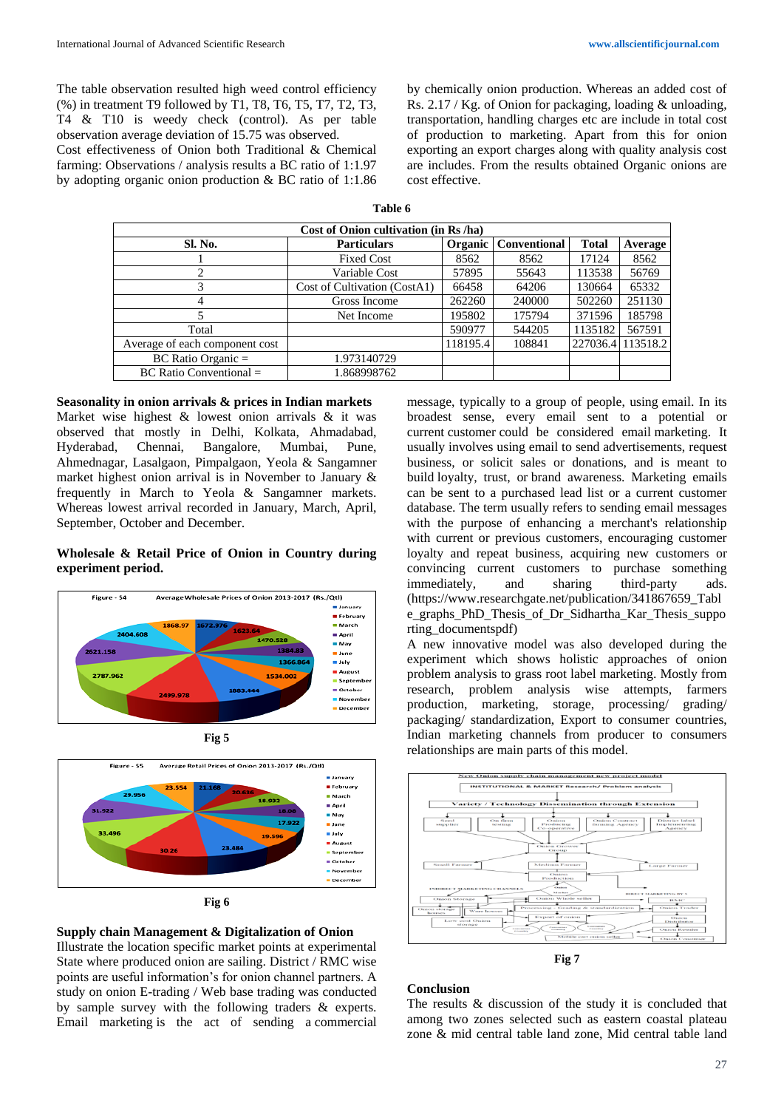The table observation resulted high weed control efficiency (%) in treatment T9 followed by T1, T8, T6, T5, T7, T2, T3, T4 & T10 is weedy check (control). As per table observation average deviation of 15.75 was observed.

Cost effectiveness of Onion both Traditional & Chemical farming: Observations / analysis results a BC ratio of 1:1.97 by adopting organic onion production & BC ratio of 1:1.86

by chemically onion production. Whereas an added cost of Rs. 2.17 / Kg. of Onion for packaging, loading & unloading, transportation, handling charges etc are include in total cost of production to marketing. Apart from this for onion exporting an export charges along with quality analysis cost are includes. From the results obtained Organic onions are cost effective.

| Cost of Onion cultivation (in Rs /ha) |                              |          |                     |                   |         |  |  |  |  |
|---------------------------------------|------------------------------|----------|---------------------|-------------------|---------|--|--|--|--|
| <b>Sl. No.</b>                        | <b>Particulars</b>           | Organic  | <b>Conventional</b> |                   | Average |  |  |  |  |
|                                       | <b>Fixed Cost</b>            | 8562     | 8562                | 17124             | 8562    |  |  |  |  |
|                                       | Variable Cost                | 57895    | 55643               | 113538            | 56769   |  |  |  |  |
|                                       | Cost of Cultivation (CostA1) | 66458    | 64206               | 130664            | 65332   |  |  |  |  |
| 4                                     | Gross Income                 | 262260   | 240000              | 502260            | 251130  |  |  |  |  |
|                                       | Net Income                   | 195802   | 175794              | 371596            | 185798  |  |  |  |  |
| Total                                 |                              | 590977   | 544205              | 1135182           | 567591  |  |  |  |  |
| Average of each component cost        |                              | 118195.4 | 108841              | 227036.4 113518.2 |         |  |  |  |  |
| $BC Ratio$ Organic =                  | 1.973140729                  |          |                     |                   |         |  |  |  |  |
| $BC$ Ratio Conventional $=$           | 1.868998762                  |          |                     |                   |         |  |  |  |  |

**Seasonality in onion arrivals & prices in Indian markets**  Market wise highest & lowest onion arrivals & it was observed that mostly in Delhi, Kolkata, Ahmadabad, Hyderabad, Chennai, Bangalore, Mumbai, Pune, Ahmednagar, Lasalgaon, Pimpalgaon, Yeola & Sangamner market highest onion arrival is in November to January & frequently in March to Yeola & Sangamner markets. Whereas lowest arrival recorded in January, March, April,

#### **Wholesale & Retail Price of Onion in Country during experiment period.**

September, October and December.



**Fig 5**





# **Supply chain Management & Digitalization of Onion**

Illustrate the location specific market points at experimental State where produced onion are sailing. District / RMC wise points are useful information's for onion channel partners. A study on onion E-trading / Web base trading was conducted by sample survey with the following traders & experts. Email marketing is the act of sending a commercial

message, typically to a group of people, using email. In its broadest sense, every email sent to a potential or current customer could be considered email marketing. It usually involves using email to send advertisements, request business, or solicit sales or donations, and is meant to build loyalty, trust, or brand awareness. Marketing emails can be sent to a purchased lead list or a current customer database. The term usually refers to sending email messages with the purpose of enhancing a merchant's relationship with current or previous customers, encouraging customer loyalty and repeat business, acquiring new customers or convincing current customers to purchase something immediately, and sharing third-party ads. (https://www.researchgate.net/publication/341867659\_Tabl e\_graphs\_PhD\_Thesis\_of\_Dr\_Sidhartha\_Kar\_Thesis\_suppo rting\_documentspdf)

A new innovative model was also developed during the experiment which shows holistic approaches of onion problem analysis to grass root label marketing. Mostly from research, problem analysis wise attempts, farmers production, marketing, storage, processing/ grading/ packaging/ standardization, Export to consumer countries, Indian marketing channels from producer to consumers relationships are main parts of this model.



**Fig 7**

# **Conclusion**

The results & discussion of the study it is concluded that among two zones selected such as eastern coastal plateau zone & mid central table land zone, Mid central table land